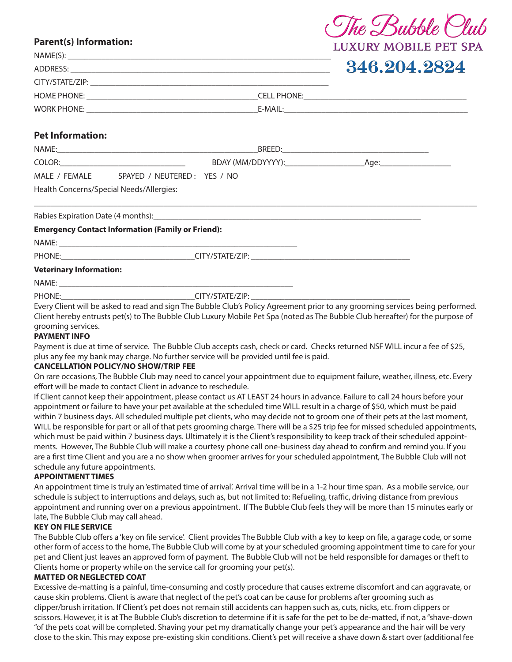# **Parent(s) Information:**

| NAME(S):         | LUAUNI MUDILLI I LI SIA |
|------------------|-------------------------|
|                  | 346.204.2824            |
|                  |                         |
|                  |                         |
|                  |                         |
| Dot Informations |                         |

e Bubble

# **Pet Information:**

| NAME:                                    |                             | BREED:            |      |  |
|------------------------------------------|-----------------------------|-------------------|------|--|
| COLOR:                                   |                             | BDAY (MM/DDYYYY): | Age: |  |
| MALE / FEMALE                            | SPAYED / NEUTERED: YES / NO |                   |      |  |
| Health Concerns/Special Needs/Allergies: |                             |                   |      |  |

\_\_\_\_\_\_\_\_\_\_\_\_\_\_\_\_\_\_\_\_\_\_\_\_\_\_\_\_\_\_\_\_\_\_\_\_\_\_\_\_\_\_\_\_\_\_\_\_\_\_\_\_\_\_\_\_\_\_\_\_\_\_\_\_\_\_\_\_\_\_\_\_\_\_\_\_\_\_\_\_\_\_\_\_\_\_\_\_\_\_\_\_\_\_\_\_\_\_\_\_\_\_\_\_\_\_

Rabies Expiration Date (4 months):

### **Emergency Contact Information (Family or Friend):**

NAME: \_\_\_\_\_\_\_\_\_\_\_\_\_\_\_\_\_\_\_\_\_\_\_\_\_\_\_\_\_\_\_\_\_\_\_\_\_\_\_\_\_\_\_\_\_\_\_\_\_\_\_\_\_\_\_\_\_

PHONE: THE PHONE: THE SET OF STATE/ZIP:  $\overline{C}$  CITY/STATE/ZIP:

### **Veterinary Information:**

NAME: \_\_\_\_\_\_\_\_\_\_\_\_\_\_\_\_\_\_\_\_\_\_\_\_\_\_\_\_\_\_\_\_\_\_\_\_\_\_\_\_\_\_\_\_\_\_\_\_\_\_\_\_\_\_\_\_

PHONE: THE PHONE:

Every Client will be asked to read and sign The Bubble Club's Policy Agreement prior to any grooming services being performed. Client hereby entrusts pet(s) to The Bubble Club Luxury Mobile Pet Spa (noted as The Bubble Club hereafter) for the purpose of grooming services.

#### **PAYMENT INFO**

Payment is due at time of service. The Bubble Club accepts cash, check or card. Checks returned NSF WILL incur a fee of \$25, plus any fee my bank may charge. No further service will be provided until fee is paid.

### **CANCELLATION POLICY/NO SHOW/TRIP FEE**

On rare occasions, The Bubble Club may need to cancel your appointment due to equipment failure, weather, illness, etc. Every effort will be made to contact Client in advance to reschedule.

If Client cannot keep their appointment, please contact us AT LEAST 24 hours in advance. Failure to call 24 hours before your appointment or failure to have your pet available at the scheduled time WILL result in a charge of \$50, which must be paid within 7 business days. All scheduled multiple pet clients, who may decide not to groom one of their pets at the last moment, WILL be responsible for part or all of that pets grooming charge. There will be a \$25 trip fee for missed scheduled appointments, which must be paid within 7 business days. Ultimately it is the Client's responsibility to keep track of their scheduled appointments. However, The Bubble Club will make a courtesy phone call one-business day ahead to confirm and remind you. If you are a first time Client and you are a no show when groomer arrives for your scheduled appointment, The Bubble Club will not schedule any future appointments.

#### **APPOINTMENT TIMES**

An appointment time is truly an 'estimated time of arrival'. Arrival time will be in a 1-2 hour time span. As a mobile service, our schedule is subject to interruptions and delays, such as, but not limited to: Refueling, traffic, driving distance from previous appointment and running over on a previous appointment. If The Bubble Club feels they will be more than 15 minutes early or late, The Bubble Club may call ahead.

# **KEY ON FILE SERVICE**

The Bubble Club offers a 'key on file service'. Client provides The Bubble Club with a key to keep on file, a garage code, or some other form of access to the home, The Bubble Club will come by at your scheduled grooming appointment time to care for your pet and Client just leaves an approved form of payment. The Bubble Club will not be held responsible for damages or theft to Clients home or property while on the service call for grooming your pet(s).

### **MATTED OR NEGLECTED COAT**

Excessive de-matting is a painful, time-consuming and costly procedure that causes extreme discomfort and can aggravate, or cause skin problems. Client is aware that neglect of the pet's coat can be cause for problems after grooming such as clipper/brush irritation. If Client's pet does not remain still accidents can happen such as, cuts, nicks, etc. from clippers or scissors. However, it is at The Bubble Club's discretion to determine if it is safe for the pet to be de-matted, if not, a "shave-down "of the pets coat will be completed. Shaving your pet my dramatically change your pet's appearance and the hair will be very close to the skin. This may expose pre-existing skin conditions. Client's pet will receive a shave down & start over (additional fee